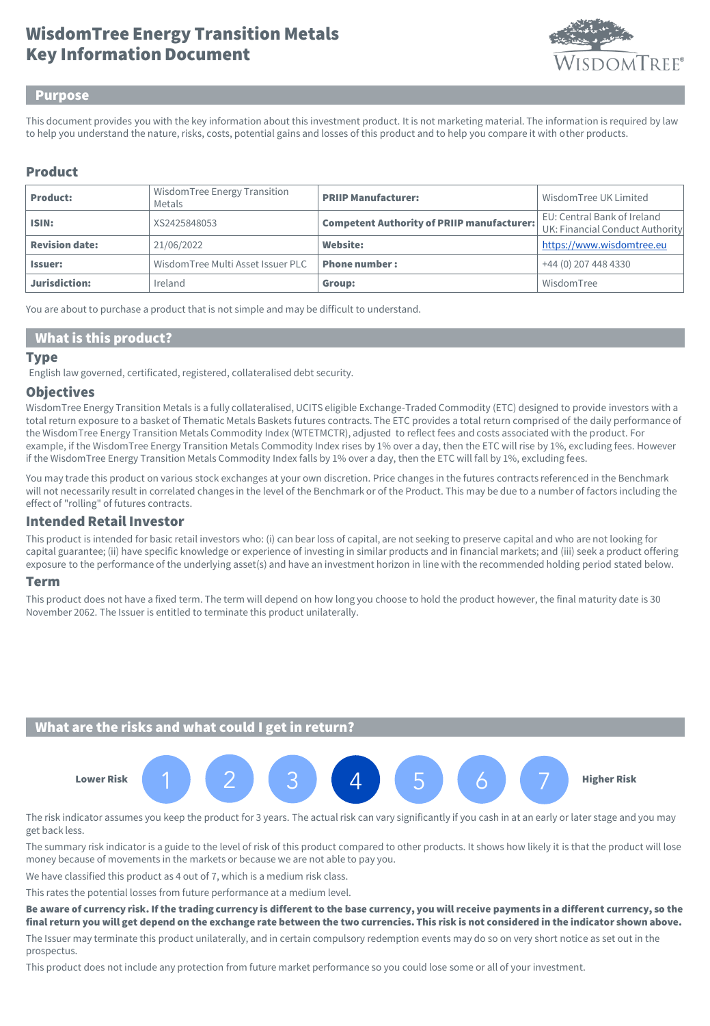# Key Information Document WisdomTree Energy Transition Metals



### Purpose

This document provides you with the key information about this investment product. It is not marketing material. The information is required by law to help you understand the nature, risks, costs, potential gains and losses of this product and to help you compare it with other products.

## Product

| <b>Product:</b>       | WisdomTree Energy Transition<br>Metals | <b>PRIIP Manufacturer:</b>                        | Wisdom Tree UK Limited                                         |
|-----------------------|----------------------------------------|---------------------------------------------------|----------------------------------------------------------------|
| ISIN:                 | XS2425848053                           | <b>Competent Authority of PRIIP manufacturer:</b> | EU: Central Bank of Ireland<br>UK: Financial Conduct Authority |
| <b>Revision date:</b> | 21/06/2022                             | <b>Website:</b>                                   | https://www.wisdomtree.eu                                      |
| <b>Issuer:</b>        | WisdomTree Multi Asset Issuer PLC      | <b>Phone number:</b>                              | +44 (0) 207 448 4330                                           |
| Jurisdiction:         | Ireland                                | Group:                                            | WisdomTree                                                     |

You are about to purchase a product that is not simple and may be difficult to understand.

## What is this product?

### **Type**

English law governed, certificated, registered, collateralised debt security.

### **Objectives**

WisdomTree Energy Transition Metals is a fully collateralised, UCITS eligible Exchange-Traded Commodity (ETC) designed to provide investors with a total return exposure to a basket of Thematic Metals Baskets futures contracts. The ETC provides a total return comprised of the daily performance of the WisdomTree Energy Transition Metals Commodity Index (WTETMCTR), adjusted to reflect fees and costs associated with the product. For example, if the WisdomTree Energy Transition Metals Commodity Index rises by 1% over a day, then the ETC will rise by 1%, excluding fees. However if the WisdomTree Energy Transition Metals Commodity Index falls by 1% over a day, then the ETC will fall by 1%, excluding fees.

You may trade this product on various stock exchanges at your own discretion. Price changes in the futures contracts referenced in the Benchmark will not necessarily result in correlated changes in the level of the Benchmark or of the Product. This may be due to a number of factors including the effect of "rolling" of futures contracts.

## Intended Retail Investor

This product is intended for basic retail investors who: (i) can bear loss of capital, are not seeking to preserve capital and who are not looking for capital guarantee; (ii) have specific knowledge or experience of investing in similar products and in financial markets; and (iii) seek a product offering exposure to the performance of the underlying asset(s) and have an investment horizon in line with the recommended holding period stated below.

#### Term

This product does not have a fixed term. The term will depend on how long you choose to hold the product however, the final maturity date is 30 November 2062. The Issuer is entitled to terminate this product unilaterally.

## What are the risks and what could I get in return?



The risk indicator assumes you keep the product for 3 years. The actual risk can vary significantly if you cash in at an early or later stage and you may get back less.

The summary risk indicator is a guide to the level of risk of this product compared to other products. It shows how likely it is that the product will lose money because of movements in the markets or because we are not able to pay you.

We have classified this product as 4 out of 7, which is a medium risk class.

This rates the potential losses from future performance at a medium level.

Be aware of currency risk. If the trading currency is different to the base currency, you will receive payments in a different currency, so the final return you will get depend on the exchange rate between the two currencies. This risk is not considered in the indicator shown above.

The Issuer may terminate this product unilaterally, and in certain compulsory redemption events may do so on very short notice as set out in the prospectus.

This product does not include any protection from future market performance so you could lose some or all of your investment.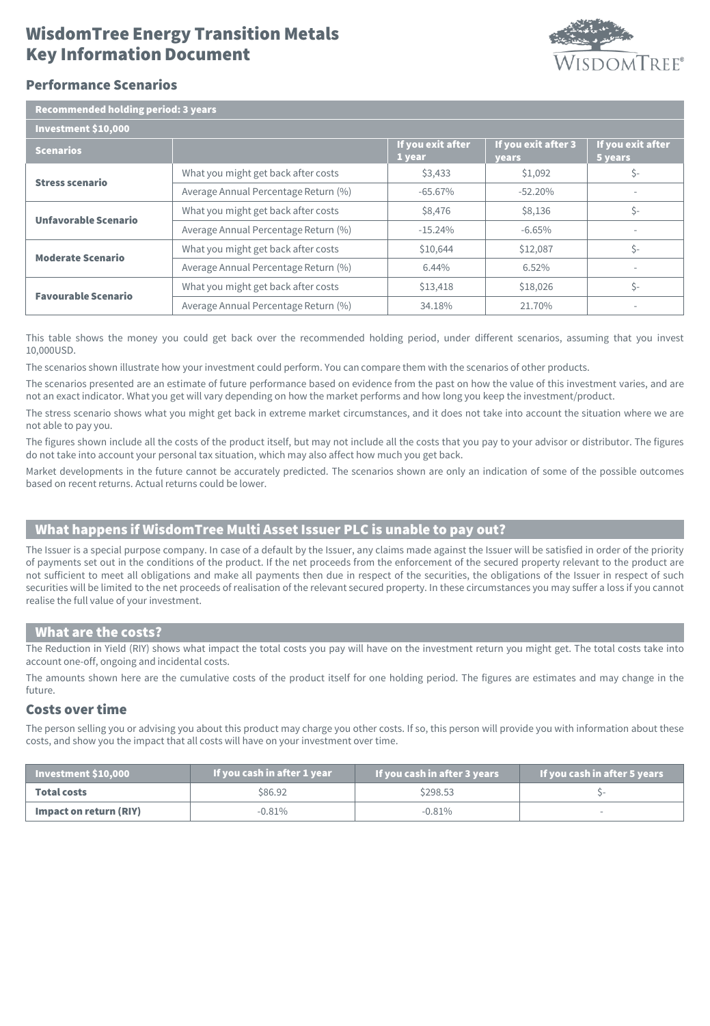# Key Information Document WisdomTree Energy Transition Metals



## Performance Scenarios

| <b>Recommended holding period: 3 years</b> |                                      |                             |                                     |                              |  |  |
|--------------------------------------------|--------------------------------------|-----------------------------|-------------------------------------|------------------------------|--|--|
| Investment \$10,000                        |                                      |                             |                                     |                              |  |  |
| <b>Scenarios</b>                           |                                      | If you exit after<br>1 year | If you exit after 3<br><b>vears</b> | If you exit after<br>5 years |  |  |
| <b>Stress scenario</b>                     | What you might get back after costs  | \$3,433                     | \$1,092                             | \$-                          |  |  |
|                                            | Average Annual Percentage Return (%) | $-65.67\%$                  | $-52.20%$                           |                              |  |  |
| Unfavorable Scenario                       | What you might get back after costs  | \$8,476                     | \$8,136                             | Ś-                           |  |  |
|                                            | Average Annual Percentage Return (%) | $-15.24%$                   | $-6.65%$                            |                              |  |  |
| <b>Moderate Scenario</b>                   | What you might get back after costs  | \$10,644                    | \$12,087                            | Ś-                           |  |  |
|                                            | Average Annual Percentage Return (%) | 6.44%                       | 6.52%                               |                              |  |  |
| <b>Favourable Scenario</b>                 | What you might get back after costs  | \$13,418                    | \$18,026                            | Ś-                           |  |  |
|                                            | Average Annual Percentage Return (%) | 34.18%                      | 21.70%                              | ٠                            |  |  |

This table shows the money you could get back over the recommended holding period, under different scenarios, assuming that you invest 10,000USD.

The scenarios shown illustrate how your investment could perform. You can compare them with the scenarios of other products.

The scenarios presented are an estimate of future performance based on evidence from the past on how the value of this investment varies, and are not an exact indicator. What you get will vary depending on how the market performs and how long you keep the investment/product.

The stress scenario shows what you might get back in extreme market circumstances, and it does not take into account the situation where we are not able to pay you.

The figures shown include all the costs of the product itself, but may not include all the costs that you pay to your advisor or distributor. The figures do not take into account your personal tax situation, which may also affect how much you get back.

Market developments in the future cannot be accurately predicted. The scenarios shown are only an indication of some of the possible outcomes based on recent returns. Actual returns could be lower.

## What happens if WisdomTree Multi Asset Issuer PLC is unable to pay out?

The Issuer is a special purpose company. In case of a default by the Issuer, any claims made against the Issuer will be satisfied in order of the priority of payments set out in the conditions of the product. If the net proceeds from the enforcement of the secured property relevant to the product are not sufficient to meet all obligations and make all payments then due in respect of the securities, the obligations of the Issuer in respect of such securities will be limited to the net proceeds of realisation of the relevant secured property. In these circumstances you may suffer a loss if you cannot realise the full value of your investment.

### What are the costs?

The Reduction in Yield (RIY) shows what impact the total costs you pay will have on the investment return you might get. The total costs take into account one-off, ongoing and incidental costs.

The amounts shown here are the cumulative costs of the product itself for one holding period. The figures are estimates and may change in the future.

## Costs over time

The person selling you or advising you about this product may charge you other costs. If so, this person will provide you with information about these costs, and show you the impact that all costs will have on your investment over time.

| $\blacksquare$ Investment \$10,000 $\blacksquare$ | If you cash in after 1 year | If you cash in after 3 years | If you cash in after 5 years |
|---------------------------------------------------|-----------------------------|------------------------------|------------------------------|
| <b>Total costs</b>                                | \$86.92                     | \$298.53                     |                              |
| Impact on return (RIY)                            | $-0.81\%$                   | $-0.81\%$                    |                              |